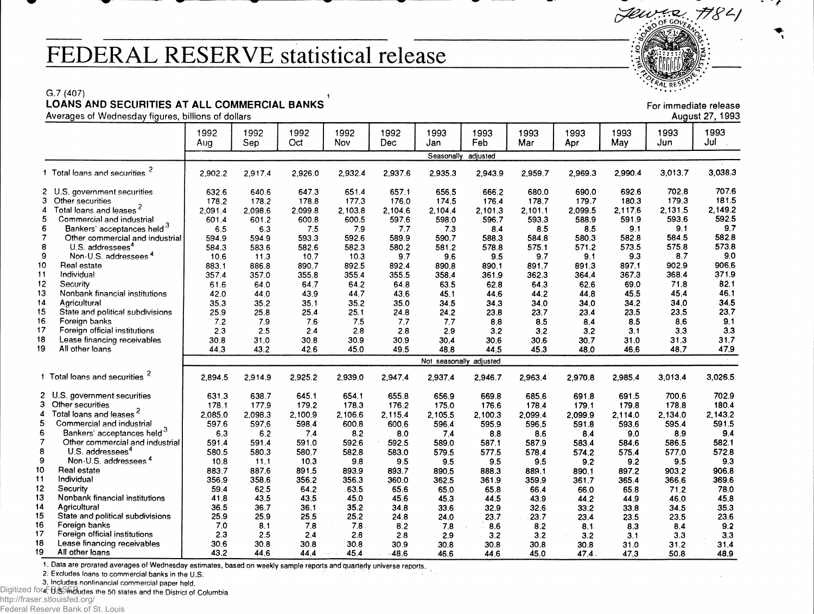## **FEDERAL RESERVE statistical release**

## G.7 (407) **LOANS AND SECURITIES AT ALL COMMERCIAL BANKS**

|                |                                           | 1992<br>Aug             | 1992<br>Sep | 1992<br>Oct | 1992<br>Nov                              | 1992<br>Dec | 1993<br>Jan | 1993<br>Feb | 1993<br>Mar | 1993<br>Apr | 1993<br>May | 1993<br>Jun | 1993<br>Jul |
|----------------|-------------------------------------------|-------------------------|-------------|-------------|------------------------------------------|-------------|-------------|-------------|-------------|-------------|-------------|-------------|-------------|
|                |                                           |                         |             |             |                                          |             | Seasonally  | adjusted    |             |             |             |             |             |
|                | 1 Total loans and securities <sup>2</sup> | 2.902.2                 | 2.917.4     | 2.926.0     | 2,932.4                                  | 2,937.6     | 2.935.3     | 2.943.9     | 2,959.7     | 2.969.3     | 2.990.4     | 3.013.7     | 3.038.3     |
|                | 2 U.S. government securities              | 632.6                   | 640.6       | 647.3       | 651.4                                    | 657.1       | 656.5       | 666.2       | 680.0       | 690.0       | 692.6       | 702.8       | 707.6       |
| 3              | Other securities                          | 178.2                   | 178.2       | 178.8       | 177.3                                    | 176.0       | 174.5       | 176.4       | 178.7       | 179.7       | 180.3       | 179.3       | 181.5       |
| 4              | Total loans and leases <sup>2</sup>       | 2.091.4                 | 2.098.6     | 2.099.8     | 2.103.8                                  | 2.104.6     | 2.104.4     | 2.101.3     | 2.101.1     | 2.099.5     | 2,117.6     | 2.131.5     | 2,149.2     |
| 5              | Commercial and industrial                 | 601.4                   | 601.2       | 600.8       | 600.5                                    | 597.6       | 598.0       | 596.7       | 593.3       | 588.9       | 591.9       | 593.6       | 592.5       |
| 6              | Bankers' acceptances held 3               | 6.5                     | 6.3         | 7.5         | 7.9                                      | 7.7         | 7.3         | 8.4         | 85          | 8.5         | 9.1         | 9.1         | 9.7         |
| $\overline{7}$ | Other commercial and industrial           | 594.9                   | 594.9       | 593.3       | 592.6                                    | 589.9       | 590.7       | 588.3       | 584.8       | 580.3       | 582.8       | 584.5       | 582.8       |
| 8              | U.S. addressees <sup>4</sup>              | 584.3                   | 583.6       | 582.6       | 582.3                                    | 580.2       | 581.2       | 578.8       | 575.1       | 571.2       | 573.5       | 575.8       | 573.8       |
| 9              | Non-U.S. addressees <sup>4</sup>          | 10.6                    | 11.3        | 10.7        | 10.3                                     | 9.7         | 9.6         | 9.5         | 9.7         | 9.1         | 9.3         | 8.7         | 9.0         |
| 10             | Real estate                               | 883.1                   | 886.8       | 890.7       | 892.5                                    | 892.4       | 890.8       | 890.1       | 891.7       | 891.3       | 897.1       | 902.9       | 906.6       |
| 11             | Individual                                | 357.4                   | 357.0       | 355.8       | 355.4                                    | 355.5       | 358.4       | 361.9       | 362.3       | 364.4       | 367.3       | 368.4       | 371.9       |
| 12             | Security                                  | 61.6                    | 64.0        | 64.7        | 64.2                                     | 64.8        | 63.5        | 62.8        | 64.3        | 62.6        | 69.0        | 71.8        | 82.1        |
| 13             | Nonbank financial institutions            | 42.0                    | 44.0        | 43.9        | 44.7                                     | 43.6        | 45.1        | 44.6        | 44.2        | 44.8        | 45.5        | 45.4        | 46.1        |
| 14             | Agricultural                              | 35.3                    | 35.2        | 35.1        | 35.2                                     | 35.0        | 34.5        | 34.3        | 34.0        | 34.0        | 34.2        | 34.0        | 34.5        |
| 15             | State and political subdivisions          | 25.9                    | 25.8        | 25.4        | 25.1                                     | 24.8        | 24.2        | 23.8        | 23.7        | 23.4        | 23.5        | 23.5        | 23.7        |
| 16             | Foreign banks                             | 7.2                     | 7.9         | 7.6         | 7.5                                      | 7.7         | 7.7         | 8.8         | 8.5         | 8.4         | 8.5         | 8.6         | 9.1         |
| 17             | Foreign official institutions             | 2.3                     | 2.5         | 2.4         | 2.8                                      | 2.8         | 2.9         | 3.2         | 3.2         | 3.2         | 3.1         | 3.3         | 3.3         |
| 18             | Lease financing receivables               | 30.8                    | 31.0        | 30.8        | 30.9                                     | 30.9        | 30.4        | 30.6        | 30.6        | 30.7        | 31.0        | 31.3        | 31.7        |
| 19             | All other loans                           | 44.3                    | 43.2        | 42.6        | 45.0                                     | 49.5        | 48.8        | 44.5        | 45.3        | 48.0        | 46.6        | 48.7        | 47.9        |
|                |                                           | Not seasonally adjusted |             |             |                                          |             |             |             |             |             |             |             |             |
|                | 1 Total loans and securities <sup>2</sup> | 2.894.5                 | 2.914.9     | 2.925.2     | 2,939.0                                  | 2.947.4     | 2.937.4     | 2.946.7     | 2.963.4     | 2.970.8     | 2.985.4     | 3,013,4     | 3,026.5     |
|                | 2 U.S. government securities              | 631.3                   | 638.7       | 645.1       | 654.1                                    | 655.8       | 656.9       | 669.8       | 685.6       | 691.8       | 691.5       | 700.6       | 702.9       |
|                | 3 Other securities                        | 178.1                   | 177.9       | 179.2       | 178.3                                    | 176.2       | 175.0       | 176.6       | 178.4       | 179.1       | 179.8       | 178.8       | 180.4       |
| 4              | Total loans and leases <sup>2</sup>       | 2,085.0                 | 2.098.3     | 2,100.9     | 2,106.6                                  | 2,115.4     | 2,105.5     | 2.100.3     | 2.099.4     | 2,099.9     | 2,114.0     | 2,134.0     | 2,143.2     |
| 5              | Commercial and industrial                 | 597.6                   | 597.6       | 598.4       | 600.8                                    | 600.6       | 596.4       | 595.9       | 596.5       | 591.8       | 593.6       | 595.4       | 591.5       |
| 6              | Bankers' acceptances held <sup>3</sup>    | 63                      | 6.2         | 7.4         | 8.2                                      | 8.0         | 7.4         | 8.8         | 8.6         | 8.4         | 9.0         | 8.9         | 9.4         |
| $\overline{7}$ | Other commercial and industrial           | 591.4                   | 591.4       | 591.0       | 592.6                                    | 592.5       | 589.0       | 587.1       | 587.9       | 583.4       | 584.6       | 586.5       | 582.1       |
| 8              | U.S. addressees <sup>4</sup>              | 580.5                   | 580.3       | 580.7       | 582.8                                    | 583.0       | 579.5       | 577.5       | 578.4       | 574.2       | 575.4       | 577.0       | 572.8       |
| 9              | Non-U.S. addressees <sup>4</sup>          | 10.8                    | 11.1        | 10.3        | 9.8                                      | 9.5         | 9.5         | 9.5         | 9.5         | 9.2         | 9.2         | 9.5         | 9.3         |
| 10             | Real estate                               | 883.7                   | 887.6       | 891.5       | 893.9                                    | 893.7       | 890.5       | 888.3       | 889.1       | 890.1       | 897.2       | 903.2       | 906.8       |
| 11             | Individual                                | 356.9                   | 358.6       | 356.2       | 356.3                                    | 360.0       | 362.5       | 361.9       | 359.9       | 361.7       | 365.4       | 366.6       | 369.6       |
| 12             | Security                                  | 59.4                    | 62.5        | 64.2        | 63.5                                     | 65.6        | 65.0        | 65.8        | 66.4        | 66.0        | 65.8        | 71.2        | $-78.0$     |
| 13             | Nonbank financial institutions            | 41.8                    | 43.5        | 43.5        | 45.0                                     | 45.6        | 45.3        | 44.5        | 43.9        | 44.2        | 44.9        | 46.0        | 45.8        |
| 14             | Agricultural                              | 36.5                    | 36.7        | 36.1        | 35.2                                     | 34.8        | 33.6        | 32.9        | 32.6        | 33.2        | 33.8        | 34.5        | 35.3        |
| 15             | State and political subdivisions          | 25.9                    | 25.9        | 25.5        | 25.2                                     | 24.8        | 24.0        | 23.7        | 23.7        | 23.4        | 23.5        | 23.5        | 23.6        |
| 16             | Foreign banks                             | 7.0                     | 8.1         | 7.8         | 7.8                                      | 8.2         | 7.8         | 8.6         | 8.2         | 8.1         | 8.3         | 8.4         | 9.2         |
| 17             | Foreign official institutions             | 2.3                     | 2.5         | 2.4         | 2.8                                      | 2.8         | 2.9         | 3.2         | 3.2         | 3.2         | 3.1         | 3.3         | 3.3         |
| 18             | Lease financing receivables               | 30.6                    | 30.8        | 30.8        | 30.8                                     | 30.9        | 30.8        | 30.8        | 30.8        | 30.8        | 31.0        | 31.2        | 31.4        |
| 19             | All other loans                           | 43.2                    | 44.6        | 44.4        | 45.4<br>$\alpha$ and $\alpha$ , $\alpha$ | $-48.6$     | 46.6        | 44.6        | 45.0        | 47.4.       | 47.3        | 50.8        | 48.9        |

 $\sim$ 

1. Data are prorated averages of Wednesday estimates, based on weekly sample reports and quarterly universe reports.

2. Excludes loans to commercial banks in the U.S.

3. Includes nonfinancial commercial paper held.

Digitized fora<del>FB.SSiaEl</del>udes the 50 states and the District of Columbia<br>http://fraser.stlouisfed.org/

Federal Reserve Bank of St. Louis



For immediate release

`≠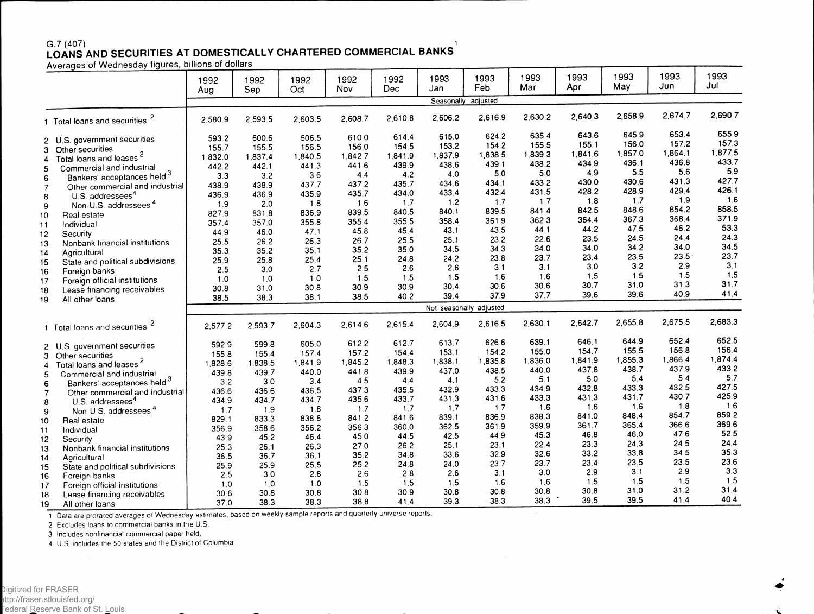## G.7 (407) 1 **LOANS AND SECURITIES AT DOMESTICALLY CHARTERED COMMERCIAL BANKS**

| ,,,,,,,                                                                           | 1992<br>Aug | 1992<br>Sep | 1992<br>Oct | 1992<br>Nov | 1992<br><b>Dec</b> | 1993<br>Jan | 1993<br>Feb             | 1993<br>Mar | 1993<br>Apr | 1993<br>May | 1993<br>Jun | 1993<br>Jul |
|-----------------------------------------------------------------------------------|-------------|-------------|-------------|-------------|--------------------|-------------|-------------------------|-------------|-------------|-------------|-------------|-------------|
|                                                                                   |             |             |             |             |                    | Seasonally  | adjusted                |             |             |             |             |             |
| 1 Total loans and securities <sup>2</sup>                                         | 2,580.9     | 2.593.5     | 2.603.5     | 2.608.7     | 2.610.8            | 2,606.2     | 2,616.9                 | 2,630.2     | 2.640.3     | 2.658.9     | 2,674.7     | 2.690.7     |
|                                                                                   | 593.2       | 600.6       | 606.5       | 610.0       | 614.4              | 615.0       | 624.2                   | 635.4       | 643.6       | 645.9       | 653.4       | 655.9       |
| 2 U.S. government securities                                                      | 155.7       | 155.5       | 156.5       | 156.0       | 154.5              | 153.2       | 154.2                   | 155.5       | 155.1       | 156.0       | 157.2       | 157.3       |
| Other securities<br>3<br>Total loans and leases <sup>2</sup>                      | 1.832.0     | 1,837.4     | 1,840.5     | 1,842.7     | 1,841.9            | 1,837.9     | 1,838.5                 | 1.839.3     | 1,841.6     | 1,857.0     | 1.864.1     | 1,877.5     |
| 4                                                                                 | 442.2       | 442.1       | 441.3       | 441.6       | 439.9              | 438.6       | 439.1                   | 438.2       | 434.9       | 436.1       | 436.8       | 433.7       |
| Commercial and industrial<br>5                                                    | 3.3         | 3.2         | 3.6         | 4.4         | 4.2                | 4.0         | 5.0                     | 5.0         | 4.9         | 5.5         | 5.6         | 5.9         |
| Bankers' acceptances held <sup>3</sup><br>6                                       | 438.9       | 438.9       | 437.7       | 437.2       | 435.7              | 434.6       | 434.1                   | 433.2       | 430.0       | 430.6       | 431.3       | 427.7       |
| Other commercial and industrial<br>$\overline{7}$                                 | 436.9       | 436.9       | 435.9       | 435.7       | 434.0              | 433.4       | 432.4                   | 431.5       | 428.2       | 428.9       | 429.4       | 426.1       |
| U.S. addressees <sup>4</sup><br>8                                                 |             | 2.0         | 1.8         | 1.6         | 1.7                | 1.2         | 1.7                     | 1.7         | 1.8         | 1.7         | 1.9         | 1.6         |
| Non-U.S. addressees <sup>4</sup><br>9                                             | 1.9         | 831.8       | 836.9       | 839.5       | 840.5              | 840.1       | 839.5                   | 841.4       | 842.5       | 848.6       | 854.2       | 858.5       |
| Real estate<br>10                                                                 | 827.9       |             | 355.8       | 355.4       | 355.5              | 358.4       | 361.9                   | 362.3       | 364.4       | 367.3       | 368.4       | 371.9       |
| Individual<br>11                                                                  | 357.4       | 357.0       | 47.1        | 45.8        | 45.4               | 43.1        | 43.5                    | 44.1        | 44.2        | 47.5        | 46.2        | 53.3        |
| 12<br>Security                                                                    | 44.9        | 46.0        |             |             | 25.5               | 25.1        | 23.2                    | 22.6        | 23.5        | 24.5        | 24.4        | 24.3        |
| Nonbank financial institutions<br>13                                              | 25.5        | 26.2        | 26.3        | 26.7        | 35.0               | 34.5        | 34.3                    | 34.0        | 34.0        | 34.2        | 34.0        | 34.5        |
| 14<br>Agricultural                                                                | 35.3        | 35.2        | 35.1        | 35.2        |                    | 24.2        | 23.8                    | 23.7        | 23.4        | 23.5        | 23.5        | 23.7        |
| State and political subdivisions<br>15                                            | 25.9        | 25.8        | 25.4        | 25.1        | 24.8               | 2.6         | 3.1                     | 3.1         | 3.0         | 3.2         | 2.9         | 3.1         |
| Foreign banks<br>16                                                               | 2.5         | 3.0         | 2.7         | 2.5         | 2.6                |             | 1.6                     | 1.6         | 1.5         | 1.5         | 1.5         | 1.5         |
| Foreign official institutions<br>17                                               | 1.0         | 1.0         | 1.0         | 1.5         | 1.5                | 1.5         | 30.6                    | 30.6        | 30.7        | 31.0        | 31.3        | 31.7        |
| Lease financing receivables<br>18                                                 | 30.8        | 31.0        | 30.8        | 30.9        | 30.9               | 30.4        |                         | 37.7        | 39.6        | 39.6        | 40.9        | 41.4        |
| 19<br>All other loans                                                             | 38.5        | 38.3        | 38.1        | 38.5        | 40.2               | 39.4        | 37.9                    |             |             |             |             |             |
|                                                                                   |             |             |             |             |                    |             | Not seasonally adjusted |             |             |             |             |             |
| 1 Total loans and securities <sup>2</sup>                                         | 2,577.2     | 2,593.7     | 2.604.3     | 2.614.6     | 2,615.4            | 2,604.9     | 2,616.5                 | 2,630.1     | 2,642.7     | 2,655.8     | 2,675.5     | 2,683.3     |
|                                                                                   | 592.9       | 599.8       | 605.0       | 612.2       | 612.7              | 613.7       | 626.6                   | 639.1       | 646.1       | 644.9       | 652.4       | 652.5       |
| 2 U.S. government securities<br>Other securities<br>3                             | 155.8       | 155.4       | 157.4       | 157.2       | 154.4              | 153.1       | 154.2                   | 155.0       | 154.7       | 155.5       | 156.8       | 156.4       |
| Total loans and leases <sup>2</sup><br>4                                          | 1,828.6     | 1,838.5     | 1,841.9     | 1,845.2     | 1,848.3            | 1,838.1     | 1,835.8                 | 1,836.0     | 1,841.9     | 1,855.3     | 1,866.4     | 1,874.4     |
| Commercial and industrial                                                         | 439.8       | 439.7       | 440.0       | 441.8       | 439.9              | 437.0       | 438.5                   | 440.0       | 437.8       | 438.7       | 437.9       | 433.2       |
| 5<br>Bankers' acceptances held <sup>3</sup>                                       | 3.2         | 3.0         | 3.4         | 4.5         | 4.4                | 4.1         | 5.2                     | 5.1         | 50          | 5.4         | 5.4         | 5.7         |
| 6                                                                                 | 436.6       | 436.6       | 436.5       | 437.3       | 435.5              | 432.9       | 433.3                   | 434.9       | 432.8       | 433.3       | 432.5       | 427.5       |
| $\overline{7}$<br>Other commercial and industrial<br>U.S. addressees <sup>4</sup> | 434.9       | 434.7       | 434.7       | 435.6       | 433.7              | 431.3       | 431.6                   | 433.3       | 431.3       | 431.7       | 430.7       | 425.9       |
| 8                                                                                 | 1.7         | 1.9         | 1.8         | 1.7         | 1.7                | 1.7         | 1.7                     | 1.6         | 1.6         | 1.6         | 1.8         | 1.6         |
| Non-U.S. addressees <sup>4</sup><br>9                                             | 829.1       | 833.3       | 838.6       | 841.2       | 841.6              | 839.1       | 836.9                   | 838.3       | 841.0       | 848.4       | 854.7       | 859.2       |
| 10<br>Real estate                                                                 | 356.9       | 358.6       | 356.2       | 356.3       | 360.0              | 362.5       | 361.9                   | 359.9       | 361.7       | 365.4       | 366.6       | 369.6       |
| Individual<br>11                                                                  | 43.9        | 45.2        | 46.4        | 45.0        | 44.5               | 42.5        | 44.9                    | 45.3        | 46.8        | 46.0        | 47.6        | 52.5        |
| 12<br>Security                                                                    |             | 26.1        | 26.3        | 27.0        | 26.2               | 25.1        | 23.1                    | 22.4        | 23.3        | 24.3        | 24.5        | 24.4        |
| Nonbank financial institutions<br>13                                              | 25.3        | 36.7        | 36.1        | 35.2        | 34.8               | 33.6        | 32.9                    | 32.6        | 33.2        | 33.8        | 34.5        | 35.3        |
| 14<br>Agricultural                                                                | 36.5        |             | 25.5        | 25.2        | 24.8               | 24.0        | 23.7                    | 23.7        | 23.4        | 23.5        | 23.5        | 23.6        |
| 15<br>State and political subdivisions                                            | 25.9        | 25.9        |             | 2.6         | 2.8                | 2.6         | 3.1                     | 3.0         | 2.9         | 3.1         | 2.9         | 3.3         |
| 16<br>Foreign banks                                                               | 2.5         | 3.0         | 2.8         |             |                    | 1.5         | 1.6                     | 1.6         | 1.5         | 1.5         | 1.5         | 1.5         |
| 17<br>Foreign official institutions                                               | 1.0         | 1.0         | 1.0         | 1.5         | 1.5<br>30.9        | 30.8        | 30.8                    | 30.8        | 30.8        | 31.0        | 31.2        | 31.4        |
| 18<br>Lease financing receivables                                                 | 30.6        | 30.8        | 30.8        | 30.8        |                    |             | 38.3                    | 38.3        | 39.5        | 39.5        | 41.4        | 40.4        |
| 19<br>All other loans                                                             | 37.0        | 38.3        | 38.3        | 38.8        | 41.4               | 39.3        |                         |             |             |             |             |             |

1 Data are prorated averages of Wednesday estimates, based on weekly sample reports and quarterly universe reports.

2 Excludes loans to commercial banks in the U.S.

3 Includes nonfinancial commercial paper held.

4. U.S. includes the 50 states and the District of Columbia